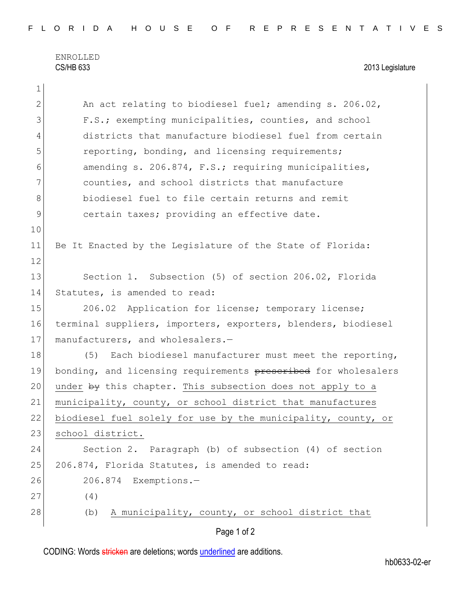ENROLLED CS/HB 633 2013 Legislature

| 1            |                                                                |
|--------------|----------------------------------------------------------------|
| $\mathbf{2}$ | An act relating to biodiesel fuel; amending s. 206.02,         |
| 3            | F.S.; exempting municipalities, counties, and school           |
| 4            | districts that manufacture biodiesel fuel from certain         |
| 5            | reporting, bonding, and licensing requirements;                |
| 6            | amending s. 206.874, F.S.; requiring municipalities,           |
| 7            | counties, and school districts that manufacture                |
| 8            | biodiesel fuel to file certain returns and remit               |
| $\mathsf{9}$ | certain taxes; providing an effective date.                    |
| 10           |                                                                |
| 11           | Be It Enacted by the Legislature of the State of Florida:      |
| 12           |                                                                |
| 13           | Section 1. Subsection (5) of section 206.02, Florida           |
| 14           | Statutes, is amended to read:                                  |
| 15           | 206.02 Application for license; temporary license;             |
| 16           | terminal suppliers, importers, exporters, blenders, biodiesel  |
| 17           | manufacturers, and wholesalers.-                               |
| 18           | Each biodiesel manufacturer must meet the reporting,<br>(5)    |
| 19           | bonding, and licensing requirements prescribed for wholesalers |
| 20           | under by this chapter. This subsection does not apply to a     |
| 21           | municipality, county, or school district that manufactures     |
| 22           | biodiesel fuel solely for use by the municipality, county, or  |
| 23           | school district.                                               |
| 24           | Section 2. Paragraph (b) of subsection (4) of section          |
| 25           | 206.874, Florida Statutes, is amended to read:                 |
| 26           | 206.874 Exemptions.-                                           |
| 27           | (4)                                                            |
| 28           | A municipality, county, or school district that<br>(b)         |
|              |                                                                |

Page 1 of 2

CODING: Words stricken are deletions; words underlined are additions.